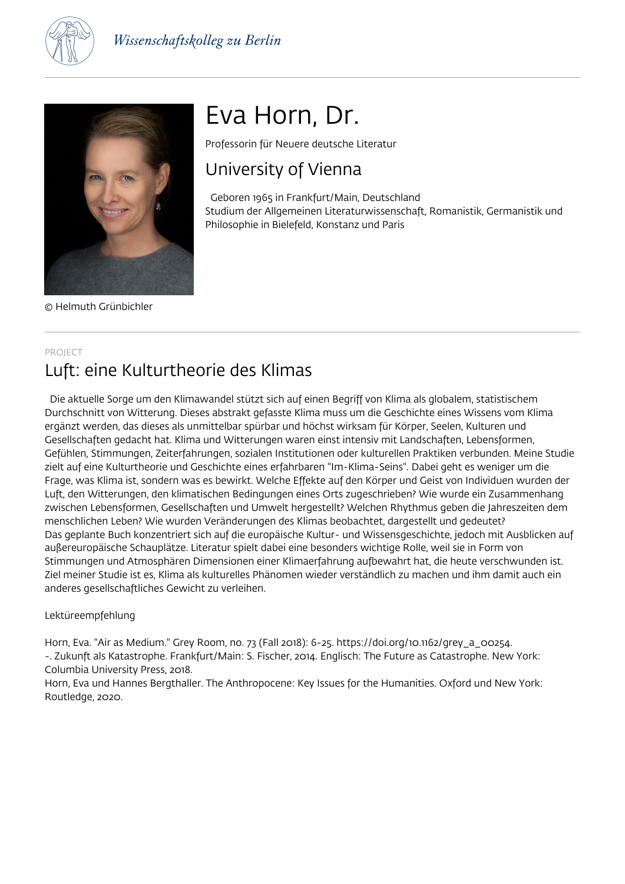



© Helmuth Grünbichler

# Eva Horn, Dr.

Professorin für Neuere deutsche Literatur

## University of Vienna

 Geboren 1965 in Frankfurt/Main, Deutschland Studium der Allgemeinen Literaturwissenschaft, Romanistik, Germanistik und Philosophie in Bielefeld, Konstanz und Paris

## PROJECT

## Luft: eine Kulturtheorie des Klimas

 Die aktuelle Sorge um den Klimawandel stützt sich auf einen Begriff von Klima als globalem, statistischem Durchschnitt von Witterung. Dieses abstrakt gefasste Klima muss um die Geschichte eines Wissens vom Klima ergänzt werden, das dieses als unmittelbar spürbar und höchst wirksam für Körper, Seelen, Kulturen und Gesellschaften gedacht hat. Klima und Witterungen waren einst intensiv mit Landschaften, Lebensformen, Gefühlen, Stimmungen, Zeiterfahrungen, sozialen Institutionen oder kulturellen Praktiken verbunden. Meine Studie zielt auf eine Kulturtheorie und Geschichte eines erfahrbaren "Im-Klima-Seins". Dabei geht es weniger um die Frage, was Klima ist, sondern was es bewirkt. Welche Effekte auf den Körper und Geist von Individuen wurden der Luft, den Witterungen, den klimatischen Bedingungen eines Orts zugeschrieben? Wie wurde ein Zusammenhang zwischen Lebensformen, Gesellschaften und Umwelt hergestellt? Welchen Rhythmus geben die Jahreszeiten dem menschlichen Leben? Wie wurden Veränderungen des Klimas beobachtet, dargestellt und gedeutet? Das geplante Buch konzentriert sich auf die europäische Kultur- und Wissensgeschichte, jedoch mit Ausblicken auf außereuropäische Schauplätze. Literatur spielt dabei eine besonders wichtige Rolle, weil sie in Form von Stimmungen und Atmosphären Dimensionen einer Klimaerfahrung aufbewahrt hat, die heute verschwunden ist. Ziel meiner Studie ist es, Klima als kulturelles Phänomen wieder verständlich zu machen und ihm damit auch ein anderes gesellschaftliches Gewicht zu verleihen.

## Lektüreempfehlung

Horn, Eva. "Air as Medium." Grey Room, no. 73 (Fall 2018): 6-25. https://doi.org/10.1162/grey\_a\_00254. -. Zukunft als Katastrophe. Frankfurt/Main: S. Fischer, 2014. Englisch: The Future as Catastrophe. New York: Columbia University Press, 2018.

Horn, Eva und Hannes Bergthaller. The Anthropocene: Key Issues for the Humanities. Oxford und New York: Routledge, 2020.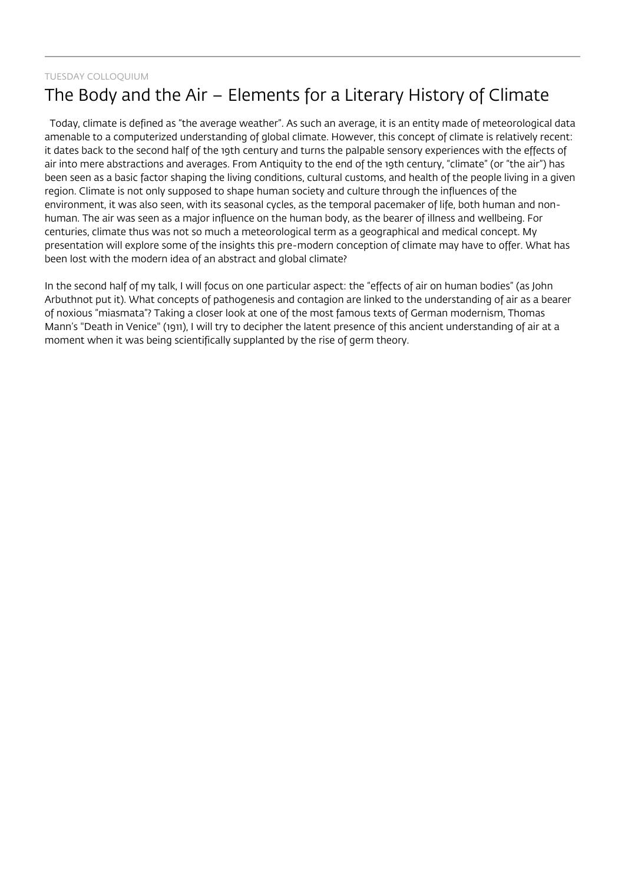## TUESDAY COLLOQUIUM The Body and the Air – Elements for a Literary History of Climate

 Today, climate is defined as "the average weather". As such an average, it is an entity made of meteorological data amenable to a computerized understanding of global climate. However, this concept of climate is relatively recent: it dates back to the second half of the 19th century and turns the palpable sensory experiences with the effects of air into mere abstractions and averages. From Antiquity to the end of the 19th century, "climate" (or "the air") has been seen as a basic factor shaping the living conditions, cultural customs, and health of the people living in a given region. Climate is not only supposed to shape human society and culture through the influences of the environment, it was also seen, with its seasonal cycles, as the temporal pacemaker of life, both human and nonhuman. The air was seen as a major influence on the human body, as the bearer of illness and wellbeing. For centuries, climate thus was not so much a meteorological term as a geographical and medical concept. My presentation will explore some of the insights this pre-modern conception of climate may have to offer. What has been lost with the modern idea of an abstract and global climate?

In the second half of my talk, I will focus on one particular aspect: the "effects of air on human bodies" (as John Arbuthnot put it). What concepts of pathogenesis and contagion are linked to the understanding of air as a bearer of noxious "miasmata"? Taking a closer look at one of the most famous texts of German modernism, Thomas Mann's "Death in Venice" (1911), I will try to decipher the latent presence of this ancient understanding of air at a moment when it was being scientifically supplanted by the rise of germ theory.